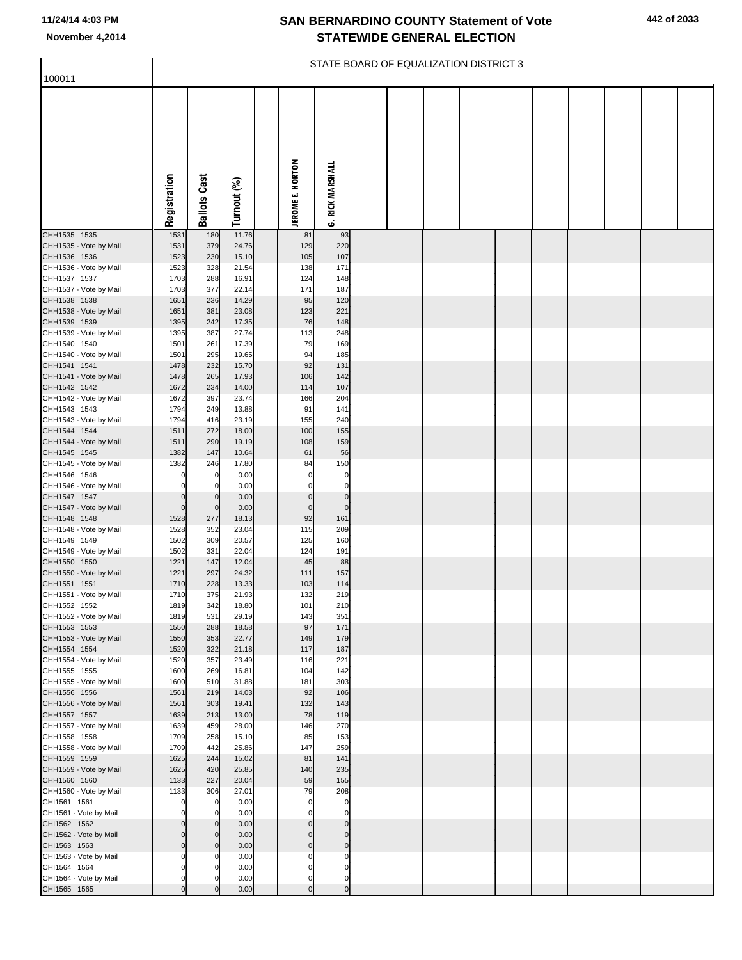## **SAN BERNARDINO COUNTY Statement of Vote November 4,2014 STATEWIDE GENERAL ELECTION**

| 100011                                 | STATE BOARD OF EQUALIZATION DISTRICT 3 |                     |                |  |                         |                            |  |  |  |  |  |  |  |  |
|----------------------------------------|----------------------------------------|---------------------|----------------|--|-------------------------|----------------------------|--|--|--|--|--|--|--|--|
|                                        |                                        |                     |                |  |                         |                            |  |  |  |  |  |  |  |  |
|                                        |                                        |                     |                |  |                         |                            |  |  |  |  |  |  |  |  |
|                                        | Registration                           | <b>Ballots Cast</b> | Turnout (%)    |  | <b>JEROME E. HORTON</b> | <b>RICK MARSHALL</b><br>نې |  |  |  |  |  |  |  |  |
| CHH1535 1535                           | 1531                                   | 180                 | 11.76          |  | 81                      | 93                         |  |  |  |  |  |  |  |  |
| CHH1535 - Vote by Mail<br>CHH1536 1536 | 1531<br>1523                           | 379<br>230          | 24.76<br>15.10 |  | 129<br>105              | 220<br>107                 |  |  |  |  |  |  |  |  |
| CHH1536 - Vote by Mail                 | 1523                                   | 328                 | 21.54          |  | 138                     | 171                        |  |  |  |  |  |  |  |  |
| CHH1537 1537<br>CHH1537 - Vote by Mail | 1703<br>1703                           | 288<br>377          | 16.91<br>22.14 |  | 124<br>171              | 148<br>187                 |  |  |  |  |  |  |  |  |
| CHH1538 1538                           | 1651                                   | 236                 | 14.29          |  | 95                      | 120                        |  |  |  |  |  |  |  |  |
| CHH1538 - Vote by Mail<br>CHH1539 1539 | 1651<br>1395                           | 381<br>242          | 23.08<br>17.35 |  | 123<br>76               | 221<br>148                 |  |  |  |  |  |  |  |  |
| CHH1539 - Vote by Mail                 | 1395                                   | 387                 | 27.74          |  | 113                     | 248                        |  |  |  |  |  |  |  |  |
| CHH1540 1540                           | 1501                                   | 261                 | 17.39          |  | 79                      | 169                        |  |  |  |  |  |  |  |  |
| CHH1540 - Vote by Mail<br>CHH1541 1541 | 1501<br>1478                           | 295<br>232          | 19.65<br>15.70 |  | 94<br>92                | 185<br>131                 |  |  |  |  |  |  |  |  |
| CHH1541 - Vote by Mail                 | 1478                                   | 265                 | 17.93          |  | 106                     | 142                        |  |  |  |  |  |  |  |  |
| CHH1542 1542                           | 1672                                   | 234                 | 14.00          |  | 114                     | 107                        |  |  |  |  |  |  |  |  |
| CHH1542 - Vote by Mail<br>CHH1543 1543 | 1672<br>1794                           | 397<br>249          | 23.74<br>13.88 |  | 166<br>91               | 204<br>141                 |  |  |  |  |  |  |  |  |
| CHH1543 - Vote by Mail                 | 1794                                   | 416                 | 23.19          |  | 155                     | 240                        |  |  |  |  |  |  |  |  |
| CHH1544 1544<br>CHH1544 - Vote by Mail | 1511<br>1511                           | 272<br>290          | 18.00<br>19.19 |  | 100<br>108              | 155<br>159                 |  |  |  |  |  |  |  |  |
| CHH1545 1545                           | 1382                                   | 147                 | 10.64          |  | 61                      | 56                         |  |  |  |  |  |  |  |  |
| CHH1545 - Vote by Mail                 | 1382<br>C                              | 246<br>$\Omega$     | 17.80          |  | 84<br>$\Omega$          | 150                        |  |  |  |  |  |  |  |  |
| CHH1546 1546<br>CHH1546 - Vote by Mail |                                        | $\Omega$            | 0.00<br>0.00   |  | C                       | 0<br>$\Omega$              |  |  |  |  |  |  |  |  |
| CHH1547 1547                           | O                                      | $\mathbf{0}$        | 0.00           |  | $\Omega$                | $\mathbf 0$                |  |  |  |  |  |  |  |  |
| CHH1547 - Vote by Mail<br>CHH1548 1548 | $\mathbf 0$<br>1528                    | $\mathbf{0}$<br>277 | 0.00<br>18.13  |  | $\mathbf 0$<br>92       | $\Omega$<br>161            |  |  |  |  |  |  |  |  |
| CHH1548 - Vote by Mail                 | 1528                                   | 352                 | 23.04          |  | 115                     | 209                        |  |  |  |  |  |  |  |  |
| CHH1549 1549<br>CHH1549 - Vote by Mail | 1502<br>1502                           | 309<br>331          | 20.57<br>22.04 |  | 125<br>124              | 160<br>191                 |  |  |  |  |  |  |  |  |
| CHH1550 1550                           | 1221                                   | 147                 | 12.04          |  | 45                      | 88                         |  |  |  |  |  |  |  |  |
| CHH1550 - Vote by Mail                 | 1221                                   | 297                 | 24.32          |  | 111                     | 157                        |  |  |  |  |  |  |  |  |
| CHH1551 1551<br>CHH1551 - Vote by Mail | 1710<br>1710                           | 228<br>375          | 13.33<br>21.93 |  | 103<br>132              | 114<br>219                 |  |  |  |  |  |  |  |  |
| CHH1552 1552                           | 1819                                   | 342                 | 18.80          |  | 101                     | 210                        |  |  |  |  |  |  |  |  |
| CHH1552 - Vote by Mail<br>CHH1553 1553 | 1819<br>1550                           | 531<br>288          | 29.19<br>18.58 |  | 143<br>97               | 351<br>171                 |  |  |  |  |  |  |  |  |
| CHH1553 - Vote by Mail                 | 1550                                   | 353                 | 22.77          |  | 149                     | 179                        |  |  |  |  |  |  |  |  |
| CHH1554 1554                           | 1520                                   | 322                 | 21.18          |  | 117                     | 187                        |  |  |  |  |  |  |  |  |
| CHH1554 - Vote by Mail<br>CHH1555 1555 | 1520<br>1600                           | 357<br>269          | 23.49<br>16.81 |  | 116<br>104              | 221<br>142                 |  |  |  |  |  |  |  |  |
| CHH1555 - Vote by Mail                 | 1600                                   | 510                 | 31.88          |  | 181                     | 303                        |  |  |  |  |  |  |  |  |
| CHH1556 1556<br>CHH1556 - Vote by Mail | 1561<br>1561                           | 219<br>303          | 14.03<br>19.41 |  | 92<br>132               | 106<br>143                 |  |  |  |  |  |  |  |  |
| CHH1557 1557                           | 1639                                   | 213                 | 13.00          |  | 78                      | 119                        |  |  |  |  |  |  |  |  |
| CHH1557 - Vote by Mail                 | 1639                                   | 459                 | 28.00          |  | 146                     | 270                        |  |  |  |  |  |  |  |  |
| CHH1558 1558<br>CHH1558 - Vote by Mail | 1709<br>1709                           | 258<br>442          | 15.10<br>25.86 |  | 85<br>147               | 153<br>259                 |  |  |  |  |  |  |  |  |
| CHH1559 1559                           | 1625                                   | 244                 | 15.02          |  | 81                      | 141                        |  |  |  |  |  |  |  |  |
| CHH1559 - Vote by Mail<br>CHH1560 1560 | 1625<br>1133                           | 420<br>227          | 25.85<br>20.04 |  | 140<br>59               | 235<br>155                 |  |  |  |  |  |  |  |  |
| CHH1560 - Vote by Mail                 | 1133                                   | 306                 | 27.01          |  | 79                      | 208                        |  |  |  |  |  |  |  |  |
| CHI1561 1561                           | C                                      | $\Omega$            | 0.00           |  | $\Omega$                | $\Omega$                   |  |  |  |  |  |  |  |  |
| CHI1561 - Vote by Mail<br>CHI1562 1562 |                                        | $\mathbf 0$         | 0.00<br>0.00   |  |                         | $\Omega$                   |  |  |  |  |  |  |  |  |
| CHI1562 - Vote by Mail                 | C                                      | $\mathbf 0$         | 0.00           |  | C                       | $\Omega$                   |  |  |  |  |  |  |  |  |
| CHI1563 1563<br>CHI1563 - Vote by Mail | 0                                      | $\mathbf 0$         | 0.00<br>0.00   |  | C<br>C                  | $\Omega$<br>C              |  |  |  |  |  |  |  |  |
| CHI1564 1564                           | C                                      | 0                   | 0.00           |  | C                       | $\Omega$                   |  |  |  |  |  |  |  |  |
| CHI1564 - Vote by Mail                 | O                                      | $\Omega$            | 0.00           |  | 0                       | $\mathbf 0$                |  |  |  |  |  |  |  |  |
| CHI1565 1565                           | $\mathbf 0$                            |                     | 0.00           |  | $\mathbf 0$             | $\pmb{0}$                  |  |  |  |  |  |  |  |  |